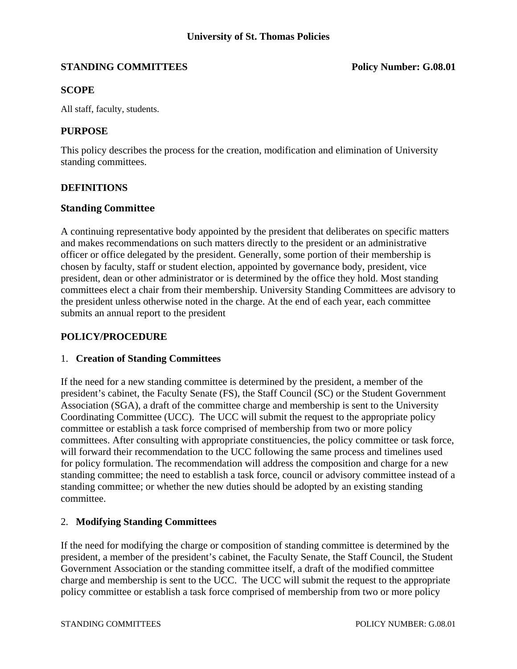# **STANDING COMMITTEES** Policy Number: G.08.01

# **SCOPE**

All staff, faculty, students.

### **PURPOSE**

This policy describes the process for the creation, modification and elimination of University standing committees.

# **DEFINITIONS**

#### **Standing Committee**

A continuing representative body appointed by the president that deliberates on specific matters and makes recommendations on such matters directly to the president or an administrative officer or office delegated by the president. Generally, some portion of their membership is chosen by faculty, staff or student election, appointed by governance body, president, vice president, dean or other administrator or is determined by the office they hold. Most standing committees elect a chair from their membership. University Standing Committees are advisory to the president unless otherwise noted in the charge. At the end of each year, each committee submits an annual report to the president

### **POLICY/PROCEDURE**

#### 1. **Creation of Standing Committees**

If the need for a new standing committee is determined by the president, a member of the president's cabinet, the Faculty Senate (FS), the Staff Council (SC) or the Student Government Association (SGA), a draft of the committee charge and membership is sent to the University Coordinating Committee (UCC). The UCC will submit the request to the appropriate policy committee or establish a task force comprised of membership from two or more policy committees. After consulting with appropriate constituencies, the policy committee or task force, will forward their recommendation to the UCC following the same process and timelines used for policy formulation. The recommendation will address the composition and charge for a new standing committee; the need to establish a task force, council or advisory committee instead of a standing committee; or whether the new duties should be adopted by an existing standing committee.

#### 2. **Modifying Standing Committees**

If the need for modifying the charge or composition of standing committee is determined by the president, a member of the president's cabinet, the Faculty Senate, the Staff Council, the Student Government Association or the standing committee itself, a draft of the modified committee charge and membership is sent to the UCC. The UCC will submit the request to the appropriate policy committee or establish a task force comprised of membership from two or more policy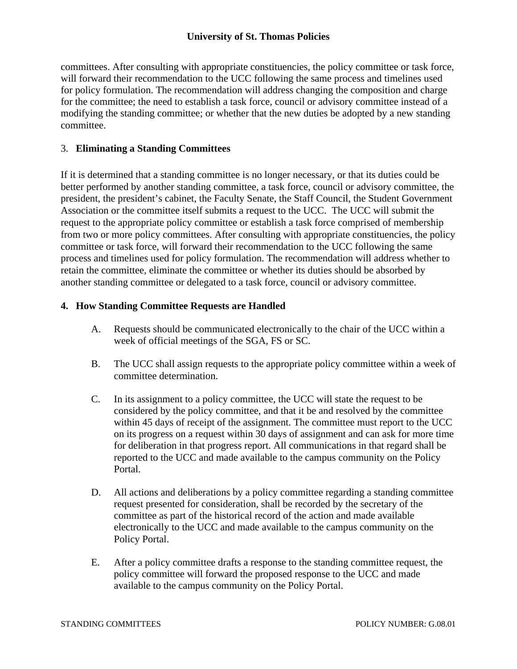# **University of St. Thomas Policies**

committees. After consulting with appropriate constituencies, the policy committee or task force, will forward their recommendation to the UCC following the same process and timelines used for policy formulation. The recommendation will address changing the composition and charge for the committee; the need to establish a task force, council or advisory committee instead of a modifying the standing committee; or whether that the new duties be adopted by a new standing committee.

#### 3. **Eliminating a Standing Committees**

If it is determined that a standing committee is no longer necessary, or that its duties could be better performed by another standing committee, a task force, council or advisory committee, the president, the president's cabinet, the Faculty Senate, the Staff Council, the Student Government Association or the committee itself submits a request to the UCC. The UCC will submit the request to the appropriate policy committee or establish a task force comprised of membership from two or more policy committees. After consulting with appropriate constituencies, the policy committee or task force, will forward their recommendation to the UCC following the same process and timelines used for policy formulation. The recommendation will address whether to retain the committee, eliminate the committee or whether its duties should be absorbed by another standing committee or delegated to a task force, council or advisory committee.

# **4. How Standing Committee Requests are Handled**

- A. Requests should be communicated electronically to the chair of the UCC within a week of official meetings of the SGA, FS or SC.
- B. The UCC shall assign requests to the appropriate policy committee within a week of committee determination.
- C. In its assignment to a policy committee, the UCC will state the request to be considered by the policy committee, and that it be and resolved by the committee within 45 days of receipt of the assignment. The committee must report to the UCC on its progress on a request within 30 days of assignment and can ask for more time for deliberation in that progress report. All communications in that regard shall be reported to the UCC and made available to the campus community on the Policy Portal.
- D. All actions and deliberations by a policy committee regarding a standing committee request presented for consideration, shall be recorded by the secretary of the committee as part of the historical record of the action and made available electronically to the UCC and made available to the campus community on the Policy Portal.
- E. After a policy committee drafts a response to the standing committee request, the policy committee will forward the proposed response to the UCC and made available to the campus community on the Policy Portal.